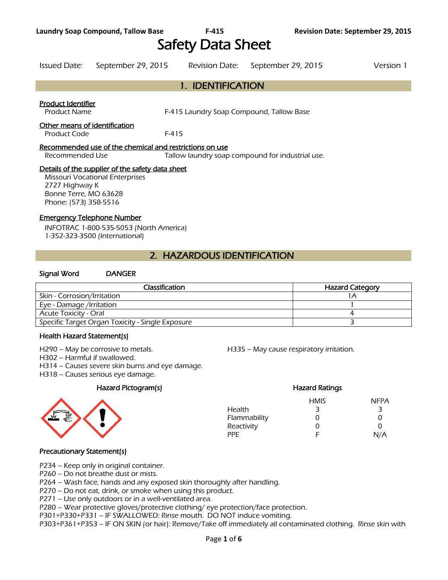Safety Data Sheet

# Issued Date: September 29, 2015 Revision Date: September 29, 2015 Version 1

## 1. IDENTIFICATION

#### Product Identifier

Product Name F-415 Laundry Soap Compound, Tallow Base

#### Other means of identification

Product Code F-415

#### Recommended use of the chemical and restrictions on use

Recommended Use Tallow laundry soap compound for industrial use.

#### Details of the supplier of the safety data sheet

Missouri Vocational Enterprises 2727 Highway K Bonne Terre, MO 63628 Phone: (573) 358-5516

#### Emergency Telephone Number

INFOTRAC 1-800-535-5053 (North America) 1-352-323-3500 (International)

## 2. HAZARDOUS IDENTIFICATION

#### Signal Word DANGER

| <b>Classification</b>                            | <b>Hazard Category</b> |  |  |
|--------------------------------------------------|------------------------|--|--|
| Skin - Corrosion/Irritation                      |                        |  |  |
| Eye - Damage /Irritation                         |                        |  |  |
| Acute Toxicity - Oral                            |                        |  |  |
| Specific Target Organ Toxicity - Single Exposure |                        |  |  |
|                                                  |                        |  |  |

#### Health Hazard Statement(s)

H302 – Harmful if swallowed.

H314 – Causes severe skin burns and eye damage.

H318 – Causes serious eye damage.

#### Hazard Pictogram(s) Hazard Ratings



H290 – May be corrosive to metals. H335 – May cause respiratory irritation.

## HMIS NFPA Health 3 3 3 Flammability 0 0 Reactivity 0 0 0 PPE F N/A

#### Precautionary Statement(s)

P234 – Keep only in original container.

P260 – Do not breathe dust or mists.

P264 – Wash face, hands and any exposed skin thoroughly after handling.

P270 – Do not eat, drink, or smoke when using this product.

P271 – Use only outdoors or in a well-ventilated area.

P280 – Wear protective gloves/protective clothing/ eye protection/face protection.

P301+P330+P331 – IF SWALLOWED: Rinse mouth. DO NOT induce vomiting.

P303+P361+P353 – IF ON SKIN (or hair): Remove/Take off immediately all contaminated clothing. Rinse skin with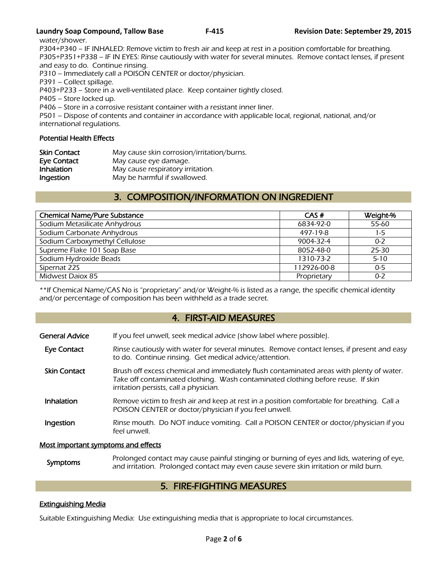#### **Laundry Soap Compound, Tallow Base F-415 Revision Date: September 29, 2015**

water/shower.

P304+P340 – IF INHALED: Remove victim to fresh air and keep at rest in a position comfortable for breathing. P305+P351+P338 – IF IN EYES: Rinse cautiously with water for several minutes. Remove contact lenses, if present and easy to do. Continue rinsing.

P310 – Immediately call a POISON CENTER or doctor/physician.

P391 – Collect spillage.

P403+P233 – Store in a well-ventilated place. Keep container tightly closed.

P405 – Store locked up.

P406 – Store in a corrosive resistant container with a resistant inner liner.

P501 – Dispose of contents and container in accordance with applicable local, regional, national, and/or international regulations.

#### Potential Health Effects

| Skin Contact      | May cause skin corrosion/irritation/burns. |
|-------------------|--------------------------------------------|
| Eye Contact       | May cause eye damage.                      |
| <b>Inhalation</b> | May cause respiratory irritation.          |
| Ingestion         | May be harmful if swallowed.               |

## 3. COMPOSITION/INFORMATION ON INGREDIENT

| <b>Chemical Name/Pure Substance</b> | CAS#        | Weight-% |
|-------------------------------------|-------------|----------|
| Sodium Metasilicate Anhydrous       | 6834-92-0   | 55-60    |
| Sodium Carbonate Anhydrous          | 497-19-8    | 1-5      |
| Sodium Carboxymethyl Cellulose      | 9004-32-4   | $0 - 2$  |
| Supreme Flake 101 Soap Base         | 8052-48-0   | 25-30    |
| Sodium Hydroxide Beads              | 1310-73-2   | $5 - 10$ |
| Sipernat 22S                        | 112926-00-8 | $0 - 5$  |
| Midwest Daiox 85                    | Proprietary | $0 - 2$  |
|                                     |             |          |

\*\*If Chemical Name/CAS No is "proprietary" and/or Weight-% is listed as a range, the specific chemical identity and/or percentage of composition has been withheld as a trade secret.

## 4. FIRST-AID MEASURES

| <b>General Advice</b> | If you feel unwell, seek medical advice (show label where possible).                                                                                                                                                   |
|-----------------------|------------------------------------------------------------------------------------------------------------------------------------------------------------------------------------------------------------------------|
| Eye Contact           | Rinse cautiously with water for several minutes. Remove contact lenses, if present and easy<br>to do. Continue rinsing. Get medical advice/attention.                                                                  |
| <b>Skin Contact</b>   | Brush off excess chemical and immediately flush contaminated areas with plenty of water.<br>Take off contaminated clothing. Wash contaminated clothing before reuse. If skin<br>irritation persists, call a physician. |
| Inhalation            | Remove victim to fresh air and keep at rest in a position comfortable for breathing. Call a<br>POISON CENTER or doctor/physician if you feel unwell.                                                                   |
| Ingestion             | Rinse mouth. Do NOT induce vomiting. Call a POISON CENTER or doctor/physician if you<br>feel unwell.                                                                                                                   |

#### Most important symptoms and effects

Symptoms Prolonged contact may cause painful stinging or burning of eyes and lids, watering of eye,<br>Symptoms and irritation. Prolonged contact may over save severe skip irritation or mild burn and irritation. Prolonged contact may even cause severe skin irritation or mild burn.

## 5. FIRE-FIGHTING MEASURES

### Extinguishing Media

Suitable Extinguishing Media: Use extinguishing media that is appropriate to local circumstances.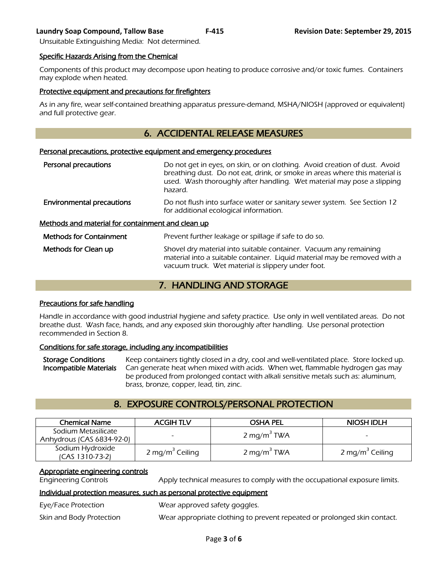#### **Laundry Soap Compound, Tallow Base F-415 Revision Date: September 29, 2015**

Unsuitable Extinguishing Media: Not determined.

#### Specific Hazards Arising from the Chemical

Components of this product may decompose upon heating to produce corrosive and/or toxic fumes. Containers may explode when heated.

#### Protective equipment and precautions for firefighters

As in any fire, wear self-contained breathing apparatus pressure-demand, MSHA/NIOSH (approved or equivalent) and full protective gear.

## 6. ACCIDENTAL RELEASE MEASURES

#### Personal precautions, protective equipment and emergency procedures

| Personal precautions                              | Do not get in eyes, on skin, or on clothing. Avoid creation of dust. Avoid<br>breathing dust. Do not eat, drink, or smoke in areas where this material is<br>used. Wash thoroughly after handling. Wet material may pose a slipping<br>hazard. |
|---------------------------------------------------|------------------------------------------------------------------------------------------------------------------------------------------------------------------------------------------------------------------------------------------------|
| <b>Environmental precautions</b>                  | Do not flush into surface water or sanitary sewer system. See Section 12<br>for additional ecological information.                                                                                                                             |
| Methods and material for containment and clean up |                                                                                                                                                                                                                                                |
| <b>Methods for Containment</b>                    | Prevent further leakage or spillage if safe to do so.                                                                                                                                                                                          |
| Methods for Clean up                              | Shovel dry material into suitable container. Vacuum any remaining<br>material into a suitable container. Liquid material may be removed with a<br>vacuum truck. Wet material is slippery under foot.                                           |

## 7. HANDLING AND STORAGE

#### Precautions for safe handling

Handle in accordance with good industrial hygiene and safety practice. Use only in well ventilated areas. Do not breathe dust. Wash face, hands, and any exposed skin thoroughly after handling. Use personal protection recommended in Section 8.

#### Conditions for safe storage, including any incompatibilities

Storage Conditions Keep containers tightly closed in a dry, cool and well-ventilated place. Store locked up.<br>Incompatible Materials Can generate heat when mixed with acids. When wet, flammable hydrogen gas may Can generate heat when mixed with acids. When wet, flammable hydrogen gas may be produced from prolonged contact with alkali sensitive metals such as: aluminum, brass, bronze, copper, lead, tin, zinc.

## 8. EXPOSURE CONTROLS/PERSONAL PROTECTION

| <b>Chemical Name</b>                             | <b>ACGIHTLV</b>             | <b>OSHA PEL</b>         | NIOSH IDLH                  |  |
|--------------------------------------------------|-----------------------------|-------------------------|-----------------------------|--|
| Sodium Metasilicate<br>Anhydrous (CAS 6834-92-0) |                             | 2 mg/m <sup>3</sup> TWA |                             |  |
| Sodium Hydroxide<br>$(CAS 1310-73-2)$            | 2 mg/m <sup>3</sup> Ceiling | 2 mg/m <sup>3</sup> TWA | 2 mg/m <sup>3</sup> Ceiling |  |

#### Appropriate engineering controls

Engineering Controls Apply technical measures to comply with the occupational exposure limits.

#### Individual protection measures, such as personal protective equipment

Eye/Face Protection Wear approved safety goggles. Skin and Body Protection Wear appropriate clothing to prevent repeated or prolonged skin contact.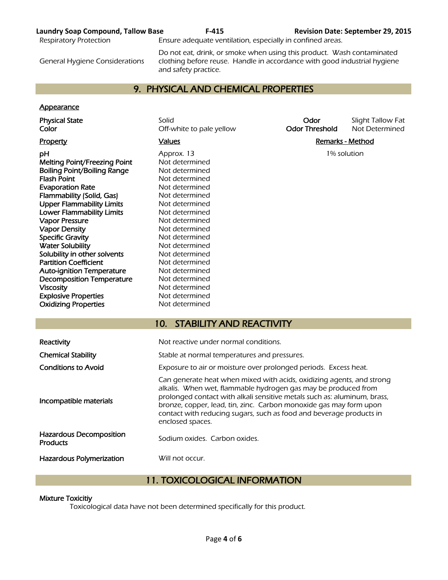#### **Laundry Soap Compound, Tallow Base F-415 Revision Date: September 29, 2015**

Respiratory Protection **Ensure adequate ventilation, especially in confined areas.** 

General Hygiene Considerations

Do not eat, drink, or smoke when using this product. Wash contaminated clothing before reuse. Handle in accordance with good industrial hygiene and safety practice.

## 9. PHYSICAL AND CHEMICAL PROPERTIES

#### **Appearance**

Melting Point/Freezing Point Not determined Boiling Point/Boiling Range Not determined Flash Point Not determined **Evaporation Rate** Not determined Flammability (Solid, Gas) Not determined Upper Flammability Limits Not determined Lower Flammability Limits Not determined Vapor Pressure Not determined Vapor Density<br>
Specific Gravity<br>
Specific Gravity<br>
Not determined Specific Gravity Water Solubility Not determined Solubility in other solvents Not determined Partition Coefficient Not determined Auto-ignition Temperature Mot determined Decomposition Temperature Not determined Viscosity **Not determined** Explosive Properties Not determined Oxidizing Properties Not determined

Physical State Solid Solid Solid Solid Color Slight Tallow Fat<br>Color Color Solid Off-white to pale yellow Color Threshold Not Determined Off-white to pale yellow **Odor Threshold** Not Determined

**pH Approx. 13** 1% solution **Approx. 13** 

#### Property **Example 2** Values **Values Values Remarks - Method**

| Reactivity                                 | Not reactive under normal conditions.                                                                                                                                                                                                                                                                                                                                                |  |  |
|--------------------------------------------|--------------------------------------------------------------------------------------------------------------------------------------------------------------------------------------------------------------------------------------------------------------------------------------------------------------------------------------------------------------------------------------|--|--|
| <b>Chemical Stability</b>                  | Stable at normal temperatures and pressures.                                                                                                                                                                                                                                                                                                                                         |  |  |
| <b>Conditions to Avoid</b>                 | Exposure to air or moisture over prolonged periods. Excess heat.                                                                                                                                                                                                                                                                                                                     |  |  |
| Incompatible materials                     | Can generate heat when mixed with acids, oxidizing agents, and strong<br>alkalis. When wet, flammable hydrogen gas may be produced from<br>prolonged contact with alkali sensitive metals such as: aluminum, brass,<br>bronze, copper, lead, tin, zinc. Carbon monoxide gas may form upon<br>contact with reducing sugars, such as food and beverage products in<br>enclosed spaces. |  |  |
| Hazardous Decomposition<br><b>Products</b> | Sodium oxides. Carbon oxides.                                                                                                                                                                                                                                                                                                                                                        |  |  |
| <b>Hazardous Polymerization</b>            | Will not occur.                                                                                                                                                                                                                                                                                                                                                                      |  |  |

10. STABILITY AND REACTIVITY

## 11. TOXICOLOGICAL INFORMATION

#### Mixture Toxicitiy

Toxicological data have not been determined specifically for this product.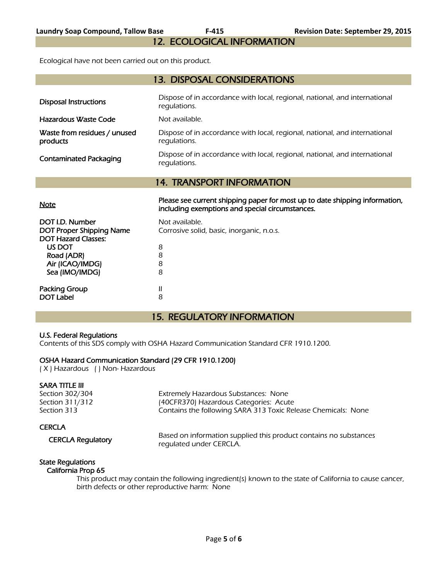12. ECOLOGICAL INFORMATION

Ecological have not been carried out on this product.

| <b>13. DISPOSAL CONSIDERATIONS</b>       |                                                                                            |  |  |  |  |
|------------------------------------------|--------------------------------------------------------------------------------------------|--|--|--|--|
| <b>Disposal Instructions</b>             | Dispose of in accordance with local, regional, national, and international<br>regulations. |  |  |  |  |
| Hazardous Waste Code                     | Not available.                                                                             |  |  |  |  |
| Waste from residues / unused<br>products | Dispose of in accordance with local, regional, national, and international<br>regulations. |  |  |  |  |
| <b>Contaminated Packaging</b>            | Dispose of in accordance with local, regional, national, and international<br>regulations. |  |  |  |  |
|                                          | <b>14. TRANSPORT INFORMATION</b>                                                           |  |  |  |  |
|                                          |                                                                                            |  |  |  |  |

Please see current shipping paper for most up to date shipping information,<br>Note including exemptions and special circumstances.

| DOT I.D. Number<br><b>DOT Proper Shipping Name</b><br><b>DOT Hazard Classes:</b> | Not available.<br>Corrosive solid, basic, inorganic, n.o.s. |
|----------------------------------------------------------------------------------|-------------------------------------------------------------|
| US DOT                                                                           | 8                                                           |
| Road (ADR)                                                                       | 8                                                           |
| Air (ICAO/IMDG)                                                                  | 8                                                           |
| Sea (IMO/IMDG)                                                                   | 8                                                           |
| <b>Packing Group</b><br><b>DOT Label</b>                                         | 8                                                           |

## 15. REGULATORY INFORMATION

#### U.S. Federal Regulations

Contents of this SDS comply with OSHA Hazard Communication Standard CFR 1910.1200.

#### OSHA Hazard Communication Standard (29 CFR 1910.1200)

( X ) Hazardous ( ) Non- Hazardous

#### SARA TITLE III

Section 302/304 **Extremely Hazardous Substances: None**<br>Section 311/312 (40CFR370) Hazardous Categories: Acut (40CFR370) Hazardous Categories: Acute Section 313 **Section 313** Contains the following SARA 313 Toxic Release Chemicals: None

### **CERCLA**

 CERCLA Regulatory Based on information supplied this product contains no substances regulated under CERCLA.

#### State Regulations California Prop 65

 This product may contain the following ingredient(s) known to the state of California to cause cancer, birth defects or other reproductive harm: None